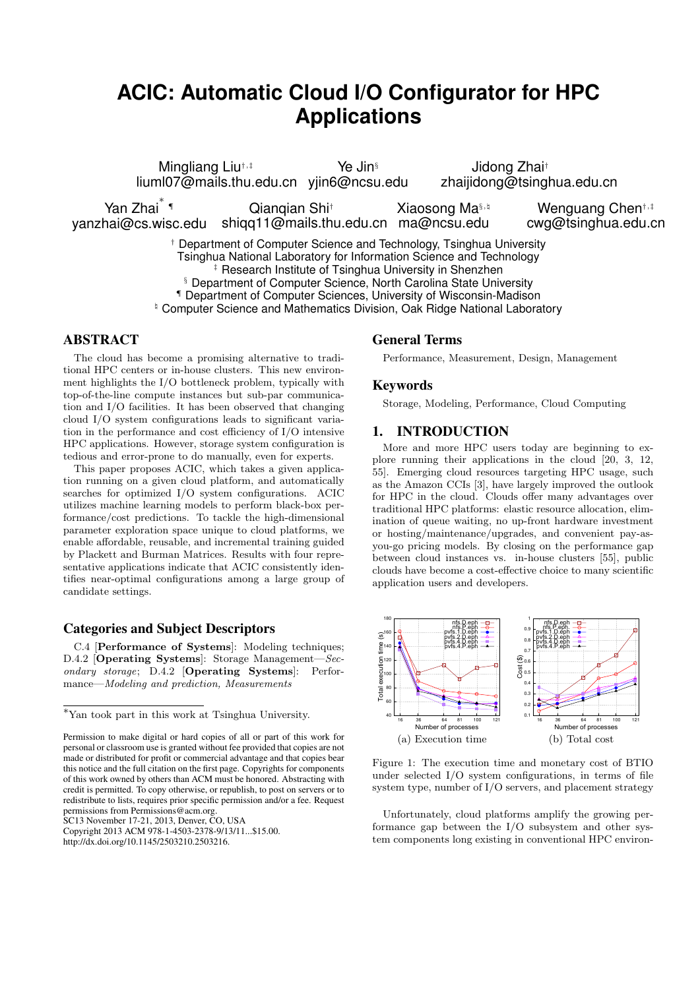# **ACIC: Automatic Cloud I/O Configurator for HPC Applications**

Mingliang Liu†,‡ liuml07@mails.thu.edu.cn yjin6@ncsu.edu Ye Jin§ Jidong Zhai† zhaijidong@tsinghua.edu.cn

Yan Zhai<sup>\*</sup> ¶ yanzhai@cs.wisc.edu Qianqian Shi† shiqq11@mails.thu.edu.cn ma@ncsu.edu Xiaosong Ma<sup>§, h</sup> Wenguang Chen†,‡ cwg@tsinghua.edu.cn

† Department of Computer Science and Technology, Tsinghua University

Tsinghua National Laboratory for Information Science and Technology

‡ Research Institute of Tsinghua University in Shenzhen

§ Department of Computer Science, North Carolina State University

¶ Department of Computer Sciences, University of Wisconsin-Madison

<sup>#</sup> Computer Science and Mathematics Division, Oak Ridge National Laboratory

# ABSTRACT

The cloud has become a promising alternative to traditional HPC centers or in-house clusters. This new environment highlights the I/O bottleneck problem, typically with top-of-the-line compute instances but sub-par communication and I/O facilities. It has been observed that changing cloud I/O system configurations leads to significant variation in the performance and cost efficiency of I/O intensive HPC applications. However, storage system configuration is tedious and error-prone to do manually, even for experts.

This paper proposes ACIC, which takes a given application running on a given cloud platform, and automatically searches for optimized I/O system configurations. ACIC utilizes machine learning models to perform black-box performance/cost predictions. To tackle the high-dimensional parameter exploration space unique to cloud platforms, we enable affordable, reusable, and incremental training guided by Plackett and Burman Matrices. Results with four representative applications indicate that ACIC consistently identifies near-optimal configurations among a large group of candidate settings.

## Categories and Subject Descriptors

C.4 [Performance of Systems]: Modeling techniques: D.4.2 [Operating Systems]: Storage Management—Secondary storage; D.4.2 [Operating Systems]: Performance—Modeling and prediction, Measurements

SC13 November 17-21, 2013, Denver, CO, USA

http://dx.doi.org/10.1145/2503210.2503216.

# General Terms

Performance, Measurement, Design, Management

# Keywords

Storage, Modeling, Performance, Cloud Computing

# 1. INTRODUCTION

More and more HPC users today are beginning to explore running their applications in the cloud [\[20,](#page-10-0) [3,](#page-10-1) [12,](#page-10-2) [55\]](#page-11-0). Emerging cloud resources targeting HPC usage, such as the Amazon CCIs [\[3\]](#page-10-1), have largely improved the outlook for HPC in the cloud. Clouds offer many advantages over traditional HPC platforms: elastic resource allocation, elimination of queue waiting, no up-front hardware investment or hosting/maintenance/upgrades, and convenient pay-asyou-go pricing models. By closing on the performance gap between cloud instances vs. in-house clusters [\[55\]](#page-11-0), public clouds have become a cost-effective choice to many scientific application users and developers.

<span id="page-0-0"></span>

Figure 1: The execution time and monetary cost of BTIO under selected I/O system configurations, in terms of file system type, number of I/O servers, and placement strategy

Unfortunately, cloud platforms amplify the growing performance gap between the I/O subsystem and other system components long existing in conventional HPC environ-

<sup>∗</sup>Yan took part in this work at Tsinghua University.

Permission to make digital or hard copies of all or part of this work for personal or classroom use is granted without fee provided that copies are not made or distributed for profit or commercial advantage and that copies bear this notice and the full citation on the first page. Copyrights for components of this work owned by others than ACM must be honored. Abstracting with credit is permitted. To copy otherwise, or republish, to post on servers or to redistribute to lists, requires prior specific permission and/or a fee. Request permissions from Permissions@acm.org.

Copyright 2013 ACM 978-1-4503-2378-9/13/11...\$15.00.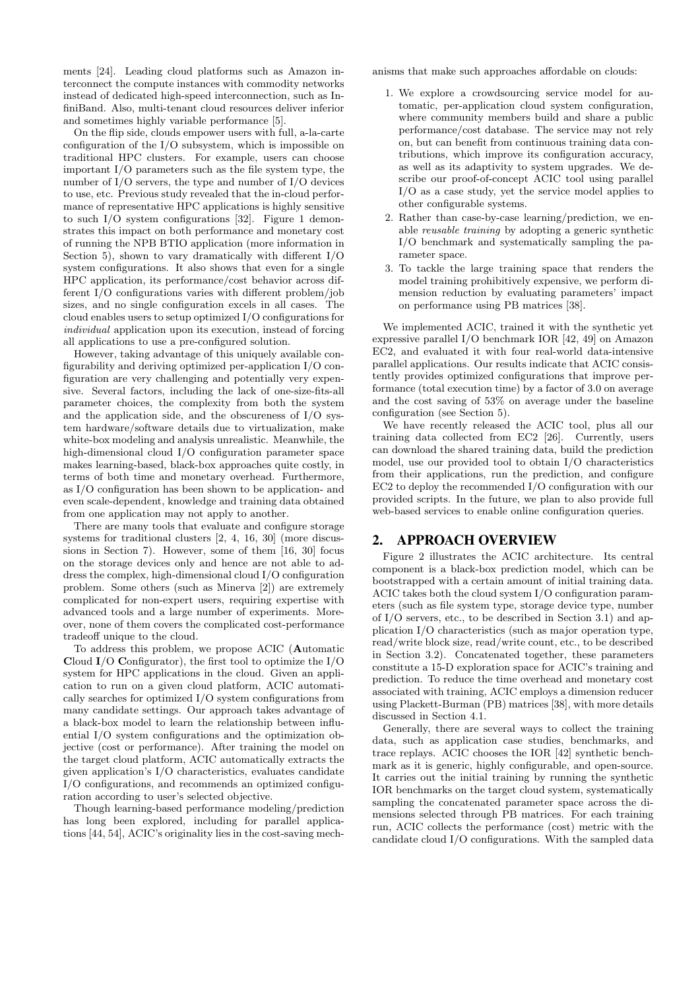ments [\[24\]](#page-11-1). Leading cloud platforms such as Amazon interconnect the compute instances with commodity networks instead of dedicated high-speed interconnection, such as InfiniBand. Also, multi-tenant cloud resources deliver inferior and sometimes highly variable performance [\[5\]](#page-10-3).

On the flip side, clouds empower users with full, a-la-carte configuration of the I/O subsystem, which is impossible on traditional HPC clusters. For example, users can choose important I/O parameters such as the file system type, the number of I/O servers, the type and number of I/O devices to use, etc. Previous study revealed that the in-cloud performance of representative HPC applications is highly sensitive to such I/O system configurations [\[32\]](#page-11-2). Figure [1](#page-0-0) demonstrates this impact on both performance and monetary cost of running the NPB BTIO application (more information in Section [5\)](#page-5-0), shown to vary dramatically with different I/O system configurations. It also shows that even for a single HPC application, its performance/cost behavior across different I/O configurations varies with different problem/job sizes, and no single configuration excels in all cases. The cloud enables users to setup optimized I/O configurations for individual application upon its execution, instead of forcing all applications to use a pre-configured solution.

However, taking advantage of this uniquely available configurability and deriving optimized per-application I/O configuration are very challenging and potentially very expensive. Several factors, including the lack of one-size-fits-all parameter choices, the complexity from both the system and the application side, and the obscureness of I/O system hardware/software details due to virtualization, make white-box modeling and analysis unrealistic. Meanwhile, the high-dimensional cloud I/O configuration parameter space makes learning-based, black-box approaches quite costly, in terms of both time and monetary overhead. Furthermore, as I/O configuration has been shown to be application- and even scale-dependent, knowledge and training data obtained from one application may not apply to another.

There are many tools that evaluate and configure storage systems for traditional clusters [\[2,](#page-10-4) [4,](#page-10-5) [16,](#page-10-6) [30\]](#page-11-3) (more discussions in Section [7\)](#page-9-0). However, some of them [\[16,](#page-10-6) [30\]](#page-11-3) focus on the storage devices only and hence are not able to address the complex, high-dimensional cloud I/O configuration problem. Some others (such as Minerva [\[2\]](#page-10-4)) are extremely complicated for non-expert users, requiring expertise with advanced tools and a large number of experiments. Moreover, none of them covers the complicated cost-performance tradeoff unique to the cloud.

To address this problem, we propose ACIC (Automatic Cloud I/O Configurator), the first tool to optimize the I/O system for HPC applications in the cloud. Given an application to run on a given cloud platform, ACIC automatically searches for optimized I/O system configurations from many candidate settings. Our approach takes advantage of a black-box model to learn the relationship between influential I/O system configurations and the optimization objective (cost or performance). After training the model on the target cloud platform, ACIC automatically extracts the given application's I/O characteristics, evaluates candidate I/O configurations, and recommends an optimized configuration according to user's selected objective.

Though learning-based performance modeling/prediction has long been explored, including for parallel applications [\[44,](#page-11-4) [54\]](#page-11-5), ACIC's originality lies in the cost-saving mechanisms that make such approaches affordable on clouds:

- 1. We explore a crowdsourcing service model for automatic, per-application cloud system configuration, where community members build and share a public performance/cost database. The service may not rely on, but can benefit from continuous training data contributions, which improve its configuration accuracy, as well as its adaptivity to system upgrades. We describe our proof-of-concept ACIC tool using parallel I/O as a case study, yet the service model applies to other configurable systems.
- 2. Rather than case-by-case learning/prediction, we enable reusable training by adopting a generic synthetic I/O benchmark and systematically sampling the parameter space.
- 3. To tackle the large training space that renders the model training prohibitively expensive, we perform dimension reduction by evaluating parameters' impact on performance using PB matrices [\[38\]](#page-11-6).

We implemented ACIC, trained it with the synthetic yet expressive parallel I/O benchmark IOR [\[42,](#page-11-7) [49\]](#page-11-8) on Amazon EC2, and evaluated it with four real-world data-intensive parallel applications. Our results indicate that ACIC consistently provides optimized configurations that improve performance (total execution time) by a factor of 3.0 on average and the cost saving of 53% on average under the baseline configuration (see Section [5\)](#page-5-0).

We have recently released the ACIC tool, plus all our training data collected from EC2 [\[26\]](#page-11-9). Currently, users can download the shared training data, build the prediction model, use our provided tool to obtain I/O characteristics from their applications, run the prediction, and configure EC2 to deploy the recommended I/O configuration with our provided scripts. In the future, we plan to also provide full web-based services to enable online configuration queries.

#### 2. APPROACH OVERVIEW

Figure [2](#page-2-0) illustrates the ACIC architecture. Its central component is a black-box prediction model, which can be bootstrapped with a certain amount of initial training data. ACIC takes both the cloud system I/O configuration parameters (such as file system type, storage device type, number of I/O servers, etc., to be described in Section [3.1\)](#page-2-1) and application I/O characteristics (such as major operation type, read/write block size, read/write count, etc., to be described in Section [3.2\)](#page-3-0). Concatenated together, these parameters constitute a 15-D exploration space for ACIC's training and prediction. To reduce the time overhead and monetary cost associated with training, ACIC employs a dimension reducer using Plackett-Burman (PB) matrices [\[38\]](#page-11-6), with more details discussed in Section [4.1.](#page-4-0)

Generally, there are several ways to collect the training data, such as application case studies, benchmarks, and trace replays. ACIC chooses the IOR [\[42\]](#page-11-7) synthetic benchmark as it is generic, highly configurable, and open-source. It carries out the initial training by running the synthetic IOR benchmarks on the target cloud system, systematically sampling the concatenated parameter space across the dimensions selected through PB matrices. For each training run, ACIC collects the performance (cost) metric with the candidate cloud I/O configurations. With the sampled data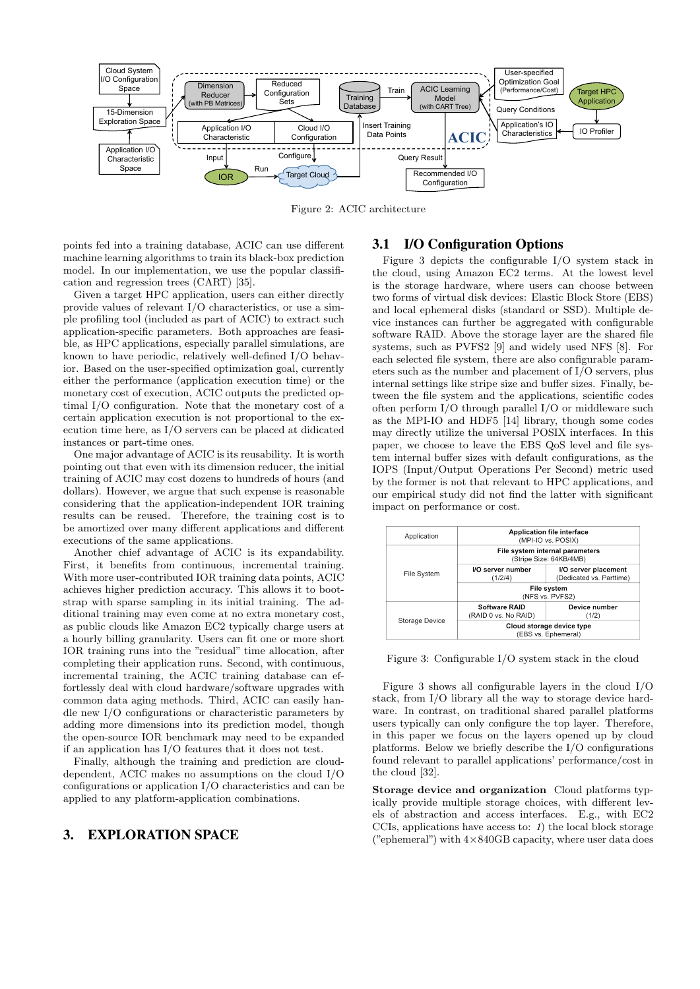<span id="page-2-0"></span>

Figure 2: ACIC architecture

points fed into a training database, ACIC can use different machine learning algorithms to train its black-box prediction model. In our implementation, we use the popular classification and regression trees (CART) [\[35\]](#page-11-10).

Given a target HPC application, users can either directly provide values of relevant I/O characteristics, or use a simple profiling tool (included as part of ACIC) to extract such application-specific parameters. Both approaches are feasible, as HPC applications, especially parallel simulations, are known to have periodic, relatively well-defined I/O behavior. Based on the user-specified optimization goal, currently either the performance (application execution time) or the monetary cost of execution, ACIC outputs the predicted optimal I/O configuration. Note that the monetary cost of a certain application execution is not proportional to the execution time here, as I/O servers can be placed at didicated instances or part-time ones.

One major advantage of ACIC is its reusability. It is worth pointing out that even with its dimension reducer, the initial training of ACIC may cost dozens to hundreds of hours (and dollars). However, we argue that such expense is reasonable considering that the application-independent IOR training results can be reused. Therefore, the training cost is to be amortized over many different applications and different executions of the same applications.

Another chief advantage of ACIC is its expandability. First, it benefits from continuous, incremental training. With more user-contributed IOR training data points, ACIC achieves higher prediction accuracy. This allows it to bootstrap with sparse sampling in its initial training. The additional training may even come at no extra monetary cost, as public clouds like Amazon EC2 typically charge users at a hourly billing granularity. Users can fit one or more short IOR training runs into the "residual" time allocation, after completing their application runs. Second, with continuous, incremental training, the ACIC training database can effortlessly deal with cloud hardware/software upgrades with common data aging methods. Third, ACIC can easily handle new I/O configurations or characteristic parameters by adding more dimensions into its prediction model, though the open-source IOR benchmark may need to be expanded if an application has I/O features that it does not test.

Finally, although the training and prediction are clouddependent, ACIC makes no assumptions on the cloud I/O configurations or application I/O characteristics and can be applied to any platform-application combinations.

# 3. EXPLORATION SPACE

#### <span id="page-2-1"></span>3.1 I/O Configuration Options

Figure [3](#page-2-2) depicts the configurable I/O system stack in the cloud, using Amazon EC2 terms. At the lowest level is the storage hardware, where users can choose between two forms of virtual disk devices: Elastic Block Store (EBS) and local ephemeral disks (standard or SSD). Multiple device instances can further be aggregated with configurable software RAID. Above the storage layer are the shared file systems, such as PVFS2 [\[9\]](#page-10-7) and widely used NFS [\[8\]](#page-10-8). For each selected file system, there are also configurable parameters such as the number and placement of I/O servers, plus internal settings like stripe size and buffer sizes. Finally, between the file system and the applications, scientific codes often perform I/O through parallel I/O or middleware such as the MPI-IO and HDF5 [\[14\]](#page-10-9) library, though some codes may directly utilize the universal POSIX interfaces. In this paper, we choose to leave the EBS QoS level and file system internal buffer sizes with default configurations, as the IOPS (Input/Output Operations Per Second) metric used by the former is not that relevant to HPC applications, and our empirical study did not find the latter with significant impact on performance or cost.

<span id="page-2-2"></span>

| Application    | <b>Application file interface</b><br>(MPI-IO vs. POSIX)    |                                                  |  |  |
|----------------|------------------------------------------------------------|--------------------------------------------------|--|--|
| File System    | File system internal parameters<br>(Stripe Size: 64KB/4MB) |                                                  |  |  |
|                | I/O server number<br>(1/2/4)                               | I/O server placement<br>(Dedicated vs. Parttime) |  |  |
|                | <b>File system</b><br>(NFS vs. PVFS2)                      |                                                  |  |  |
| Storage Device | <b>Software RAID</b><br>(RAID 0 vs. No RAID)               | Device number<br>(1/2)                           |  |  |
|                | Cloud storage device type<br>(EBS vs. Ephemeral)           |                                                  |  |  |

Figure 3: Configurable I/O system stack in the cloud

Figure [3](#page-2-2) shows all configurable layers in the cloud I/O stack, from I/O library all the way to storage device hardware. In contrast, on traditional shared parallel platforms users typically can only configure the top layer. Therefore, in this paper we focus on the layers opened up by cloud platforms. Below we briefly describe the I/O configurations found relevant to parallel applications' performance/cost in the cloud [\[32\]](#page-11-2).

Storage device and organization Cloud platforms typically provide multiple storage choices, with different levels of abstraction and access interfaces. E.g., with EC2 CCIs, applications have access to:  $1$ ) the local block storage ("ephemeral") with  $4\times840GB$  capacity, where user data does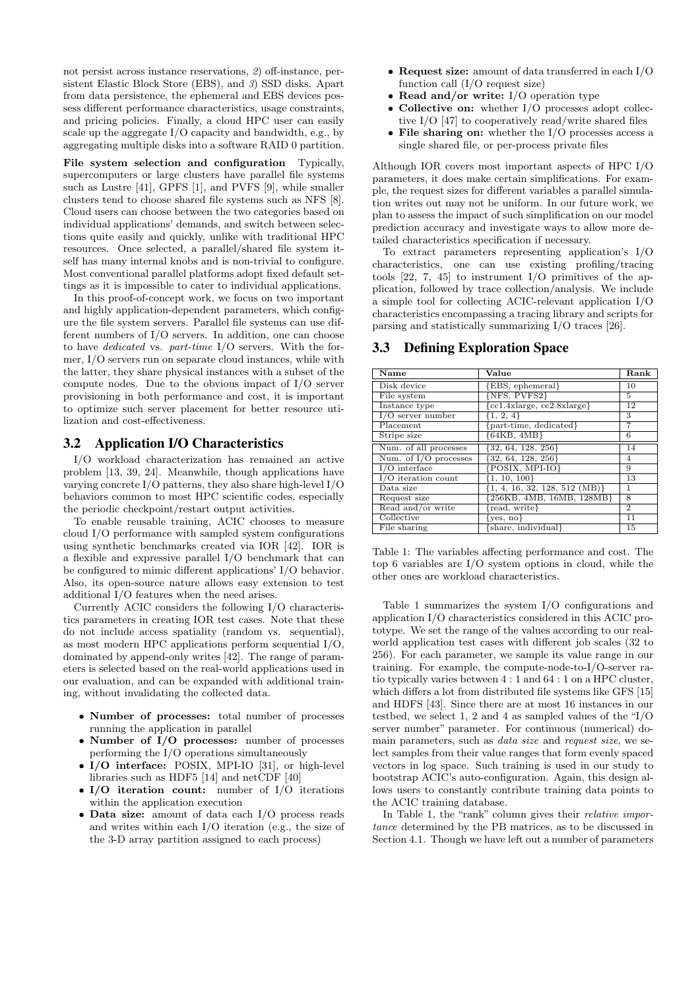not persist across instance reservations, 2) off-instance, persistent Elastic Block Store (EBS), and 3) SSD disks. Apart from data persistence, the ephemeral and EBS devices possess different performance characteristics, usage constraints, and pricing policies. Finally, a cloud HPC user can easily scale up the aggregate I/O capacity and bandwidth, e.g., by aggregating multiple disks into a software RAID 0 partition.

File system selection and configuration Typically, supercomputers or large clusters have parallel file systems such as Lustre [\[41\]](#page-11-11), GPFS [\[1\]](#page-10-10), and PVFS [\[9\]](#page-10-7), while smaller clusters tend to choose shared file systems such as NFS [\[8\]](#page-10-8). Cloud users can choose between the two categories based on individual applications' demands, and switch between selections quite easily and quickly, unlike with traditional HPC resources. Once selected, a parallel/shared file system itself has many internal knobs and is non-trivial to configure. Most conventional parallel platforms adopt fixed default settings as it is impossible to cater to individual applications.

In this proof-of-concept work, we focus on two important and highly application-dependent parameters, which configure the file system servers. Parallel file systems can use different numbers of I/O servers. In addition, one can choose to have dedicated vs. part-time I/O servers. With the former, I/O servers run on separate cloud instances, while with the latter, they share physical instances with a subset of the compute nodes. Due to the obvious impact of I/O server provisioning in both performance and cost, it is important to optimize such server placement for better resource utilization and cost-effectiveness.

#### <span id="page-3-0"></span>3.2 Application I/O Characteristics

I/O workload characterization has remained an active problem [\[13,](#page-10-11) [39,](#page-11-12) [24\]](#page-11-1). Meanwhile, though applications have varying concrete I/O patterns, they also share high-level I/O behaviors common to most HPC scientific codes, especially the periodic checkpoint/restart output activities.

To enable reusable training, ACIC chooses to measure cloud I/O performance with sampled system configurations using synthetic benchmarks created via IOR [\[42\]](#page-11-7). IOR is a flexible and expressive parallel I/O benchmark that can be configured to mimic different applications' I/O behavior. Also, its open-source nature allows easy extension to test additional I/O features when the need arises.

Currently ACIC considers the following I/O characteristics parameters in creating IOR test cases. Note that these do not include access spatiality (random vs. sequential), as most modern HPC applications perform sequential I/O, dominated by append-only writes [\[42\]](#page-11-7). The range of parameters is selected based on the real-world applications used in our evaluation, and can be expanded with additional training, without invalidating the collected data.

- Number of processes: total number of processes running the application in parallel
- Number of I/O processes: number of processes performing the I/O operations simultaneously
- I/O interface: POSIX, MPI-IO [\[31\]](#page-11-13), or high-level libraries such as HDF5 [\[14\]](#page-10-9) and netCDF [\[40\]](#page-11-14)
- I/O iteration count: number of I/O iterations within the application execution
- Data size: amount of data each I/O process reads and writes within each I/O iteration (e.g., the size of the 3-D array partition assigned to each process)
- Request size: amount of data transferred in each I/O function call (I/O request size)
- Read and/or write: I/O operation type
- Collective on: whether I/O processes adopt collective I/O [\[47\]](#page-11-15) to cooperatively read/write shared files
- File sharing on: whether the I/O processes access a single shared file, or per-process private files

Although IOR covers most important aspects of HPC I/O parameters, it does make certain simplifications. For example, the request sizes for different variables a parallel simulation writes out may not be uniform. In our future work, we plan to assess the impact of such simplification on our model prediction accuracy and investigate ways to allow more detailed characteristics specification if necessary.

To extract parameters representing application's I/O characteristics, one can use existing profiling/tracing tools [\[22,](#page-11-16) [7,](#page-10-12) [45\]](#page-11-17) to instrument I/O primitives of the application, followed by trace collection/analysis. We include a simple tool for collecting ACIC-relevant application I/O characteristics encompassing a tracing library and scripts for parsing and statistically summarizing I/O traces [\[26\]](#page-11-9).

#### 3.3 Defining Exploration Space

<span id="page-3-1"></span>

| Name                             | Value                                     | Rank           |
|----------------------------------|-------------------------------------------|----------------|
| Disk device                      | EBS, ephemeral                            | 10             |
| File system                      | {NFS, PVFS2}                              | 5              |
| Instance type                    | $cc1.4xlarge, cc2.8xlarge\}$              | 12             |
| $I/O$ server number              | $\{1, 2, 4\}$                             | 3              |
| Placement                        | {part-time, dedicated}                    | 7              |
| Stripe size                      | ${64KB, 4MB}$                             | 6              |
| Num. of all processes            | $\{32, 64, 128, 256\}$                    | 14             |
| Num. of $I/O$ processes          | $\{32, 64, 128, 256\}$                    | $\overline{4}$ |
| $I/O$ interface                  | {POSIX, MPI-IO}                           | 9              |
| $\overline{I/O}$ iteration count | 1, 10, 100                                | 13             |
| Data size                        | $\{1, 4, 16, 32, 128, 512 \text{ (MB)}\}$ | 1              |
| Request size                     | 256KB, 4MB, 16MB, 128MB}                  | 8              |
| Read and/or write                | read, write}                              | $\overline{2}$ |
| Collective                       | yes, no                                   | 11             |
| File sharing                     | share, individual}                        | 15             |

Table 1: The variables affecting performance and cost. The top 6 variables are I/O system options in cloud, while the other ones are workload characteristics.

Table [1](#page-3-1) summarizes the system I/O configurations and application I/O characteristics considered in this ACIC prototype. We set the range of the values according to our realworld application test cases with different job scales (32 to 256). For each parameter, we sample its value range in our training. For example, the compute-node-to-I/O-server ratio typically varies between 4 : 1 and 64 : 1 on a HPC cluster, which differs a lot from distributed file systems like GFS [\[15\]](#page-10-13) and HDFS [\[43\]](#page-11-18). Since there are at most 16 instances in our testbed, we select 1, 2 and 4 as sampled values of the "I/O server number" parameter. For continuous (numerical) domain parameters, such as data size and request size, we select samples from their value ranges that form evenly spaced vectors in log space. Such training is used in our study to bootstrap ACIC's auto-configuration. Again, this design allows users to constantly contribute training data points to the ACIC training database.

In Table [1,](#page-3-1) the "rank" column gives their relative importance determined by the PB matrices, as to be discussed in Section [4.1.](#page-4-0) Though we have left out a number of parameters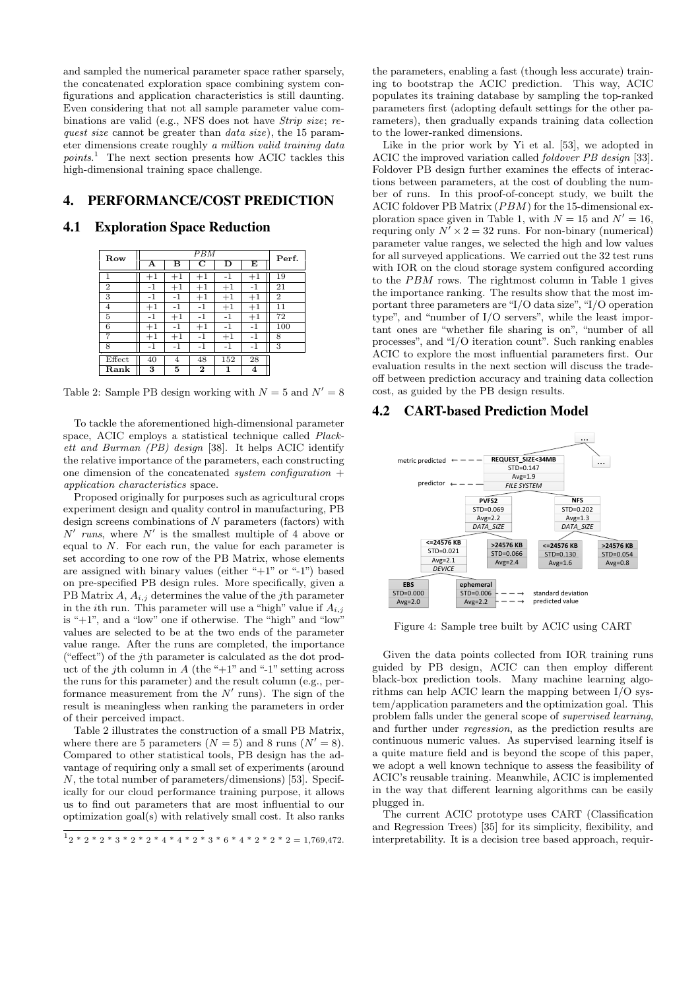and sampled the numerical parameter space rather sparsely, the concatenated exploration space combining system configurations and application characteristics is still daunting. Even considering that not all sample parameter value combinations are valid (e.g., NFS does not have Strip size; request size cannot be greater than *data size*), the 15 parameter dimensions create roughly a million valid training data points.<sup>[1](#page-4-1)</sup> The next section presents how ACIC tackles this high-dimensional training space challenge.

#### 4. PERFORMANCE/COST PREDICTION

#### <span id="page-4-2"></span><span id="page-4-0"></span>4.1 Exploration Space Reduction

| Row            |      | Perf. |                    |      |      |                |
|----------------|------|-------|--------------------|------|------|----------------|
|                | A    | в     | $\overline{\rm c}$ | D    | Е    |                |
|                | $+1$ | $+1$  | $+1$               | $-1$ | $+1$ | 19             |
| $\overline{2}$ | $-1$ | $+1$  | $+1$               | $+1$ | $-1$ | 21             |
| 3              | $-1$ | $-1$  | $+1$               | $+1$ | $+1$ | $\overline{2}$ |
| 4              | $+1$ | $-1$  | $-1$               | $+1$ | $+1$ | 11             |
| 5              | $-1$ | $+1$  | $-1$               | $-1$ | $+1$ | 72             |
| 6              | $+1$ | $-1$  | $+1$               | $-1$ | $-1$ | 100            |
| 7              | $+1$ | $+1$  | $-1$               | $+1$ | $-1$ | 8              |
| 8              | $-1$ | $-1$  | $-1$               | $-1$ | $-1$ | 3              |
| Effect         | 40   | 4     | 48                 | 152  | 28   |                |
| Rank           | 3    | 5     | $\mathbf 2$        | 1    | 4    |                |

Table 2: Sample PB design working with  $N = 5$  and  $N' = 8$ 

To tackle the aforementioned high-dimensional parameter space, ACIC employs a statistical technique called Plackett and Burman (PB) design [\[38\]](#page-11-6). It helps ACIC identify the relative importance of the parameters, each constructing one dimension of the concatenated system configuration + application characteristics space.

Proposed originally for purposes such as agricultural crops experiment design and quality control in manufacturing, PB design screens combinations of N parameters (factors) with  $N'$  runs, where  $N'$  is the smallest multiple of 4 above or equal to  $N$ . For each run, the value for each parameter is set according to one row of the PB Matrix, whose elements are assigned with binary values (either " $+1$ " or "-1") based on pre-specified PB design rules. More specifically, given a PB Matrix A,  $A_{i,j}$  determines the value of the *j*th parameter in the *i*th run. This parameter will use a "high" value if  $A_{i,j}$ is "+1", and a "low" one if otherwise. The "high" and "low" values are selected to be at the two ends of the parameter value range. After the runs are completed, the importance ("effect") of the  $j$ th parameter is calculated as the dot product of the *j*th column in  $A$  (the "+1" and "-1" setting across the runs for this parameter) and the result column (e.g., performance measurement from the  $N'$  runs). The sign of the result is meaningless when ranking the parameters in order of their perceived impact.

Table [2](#page-4-2) illustrates the construction of a small PB Matrix, where there are 5 parameters  $(N = 5)$  and 8 runs  $(N' = 8)$ . Compared to other statistical tools, PB design has the advantage of requiring only a small set of experiments (around N, the total number of parameters/dimensions) [\[53\]](#page-11-19). Specifically for our cloud performance training purpose, it allows us to find out parameters that are most influential to our optimization goal(s) with relatively small cost. It also ranks

the parameters, enabling a fast (though less accurate) training to bootstrap the ACIC prediction. This way, ACIC populates its training database by sampling the top-ranked parameters first (adopting default settings for the other parameters), then gradually expands training data collection to the lower-ranked dimensions.

Like in the prior work by Yi et al. [\[53\]](#page-11-19), we adopted in ACIC the improved variation called *foldover PB design* [\[33\]](#page-11-20). Foldover PB design further examines the effects of interactions between parameters, at the cost of doubling the number of runs. In this proof-of-concept study, we built the ACIC foldover PB Matrix  $(PBM)$  for the 15-dimensional ex-ploration space given in Table [1,](#page-3-1) with  $N = 15$  and  $N' = 16$ , requring only  $N' \times 2 = 32$  runs. For non-binary (numerical) parameter value ranges, we selected the high and low values for all surveyed applications. We carried out the 32 test runs with IOR on the cloud storage system configured according to the  $PBM$  rows. The rightmost column in Table [1](#page-3-1) gives the importance ranking. The results show that the most important three parameters are "I/O data size", "I/O operation type", and "number of I/O servers", while the least important ones are "whether file sharing is on", "number of all processes", and "I/O iteration count". Such ranking enables ACIC to explore the most influential parameters first. Our evaluation results in the next section will discuss the tradeoff between prediction accuracy and training data collection cost, as guided by the PB design results.

#### 4.2 CART-based Prediction Model

<span id="page-4-3"></span>

Figure 4: Sample tree built by ACIC using CART

Given the data points collected from IOR training runs guided by PB design, ACIC can then employ different black-box prediction tools. Many machine learning algorithms can help ACIC learn the mapping between I/O system/application parameters and the optimization goal. This problem falls under the general scope of supervised learning, and further under regression, as the prediction results are continuous numeric values. As supervised learning itself is a quite mature field and is beyond the scope of this paper, we adopt a well known technique to assess the feasibility of ACIC's reusable training. Meanwhile, ACIC is implemented in the way that different learning algorithms can be easily plugged in.

The current ACIC prototype uses CART (Classification and Regression Trees) [\[35\]](#page-11-10) for its simplicity, flexibility, and interpretability. It is a decision tree based approach, requir-

<span id="page-4-1"></span> $1_2$  \* 2 \* 2 \* 3 \* 2 \* 2 \* 4 \* 4 \* 2 \* 3 \* 6 \* 4 \* 2 \* 2 \* 2 = 1,769,472.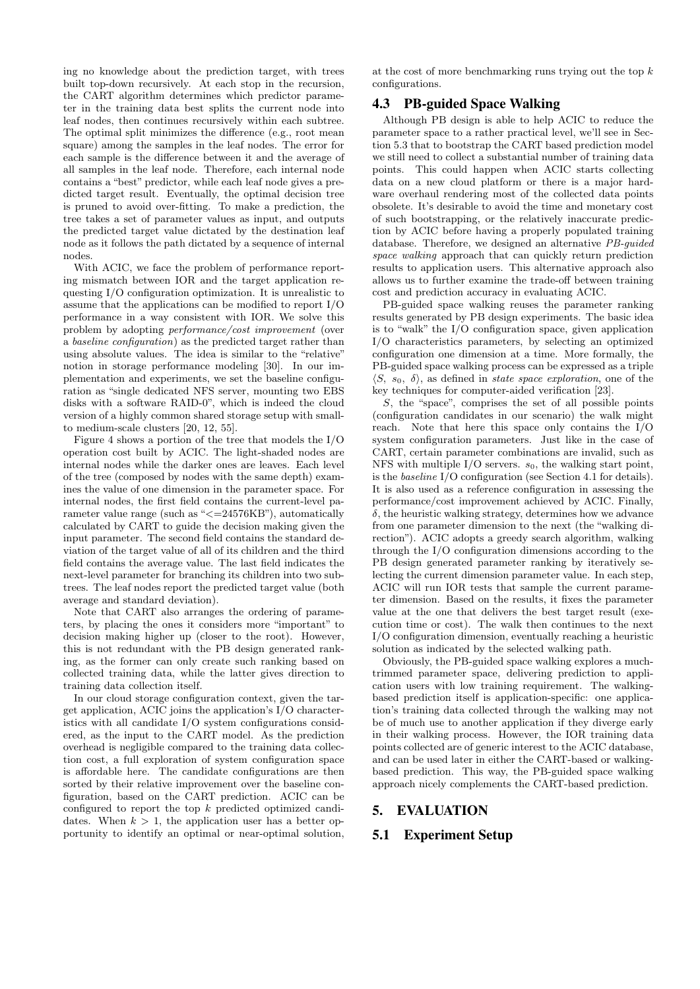ing no knowledge about the prediction target, with trees built top-down recursively. At each stop in the recursion, the CART algorithm determines which predictor parameter in the training data best splits the current node into leaf nodes, then continues recursively within each subtree. The optimal split minimizes the difference (e.g., root mean square) among the samples in the leaf nodes. The error for each sample is the difference between it and the average of all samples in the leaf node. Therefore, each internal node contains a "best" predictor, while each leaf node gives a predicted target result. Eventually, the optimal decision tree is pruned to avoid over-fitting. To make a prediction, the tree takes a set of parameter values as input, and outputs the predicted target value dictated by the destination leaf node as it follows the path dictated by a sequence of internal nodes.

With ACIC, we face the problem of performance reporting mismatch between IOR and the target application requesting I/O configuration optimization. It is unrealistic to assume that the applications can be modified to report I/O performance in a way consistent with IOR. We solve this problem by adopting performance/cost improvement (over a baseline configuration) as the predicted target rather than using absolute values. The idea is similar to the "relative" notion in storage performance modeling [\[30\]](#page-11-3). In our implementation and experiments, we set the baseline configuration as "single dedicated NFS server, mounting two EBS disks with a software RAID-0", which is indeed the cloud version of a highly common shared storage setup with smallto medium-scale clusters [\[20,](#page-10-0) [12,](#page-10-2) [55\]](#page-11-0).

Figure [4](#page-4-3) shows a portion of the tree that models the I/O operation cost built by ACIC. The light-shaded nodes are internal nodes while the darker ones are leaves. Each level of the tree (composed by nodes with the same depth) examines the value of one dimension in the parameter space. For internal nodes, the first field contains the current-level parameter value range (such as " $\leq$ =24576KB"), automatically calculated by CART to guide the decision making given the input parameter. The second field contains the standard deviation of the target value of all of its children and the third field contains the average value. The last field indicates the next-level parameter for branching its children into two subtrees. The leaf nodes report the predicted target value (both average and standard deviation).

Note that CART also arranges the ordering of parameters, by placing the ones it considers more "important" to decision making higher up (closer to the root). However, this is not redundant with the PB design generated ranking, as the former can only create such ranking based on collected training data, while the latter gives direction to training data collection itself.

In our cloud storage configuration context, given the target application, ACIC joins the application's I/O characteristics with all candidate I/O system configurations considered, as the input to the CART model. As the prediction overhead is negligible compared to the training data collection cost, a full exploration of system configuration space is affordable here. The candidate configurations are then sorted by their relative improvement over the baseline configuration, based on the CART prediction. ACIC can be configured to report the top k predicted optimized candidates. When  $k > 1$ , the application user has a better opportunity to identify an optimal or near-optimal solution,

at the cost of more benchmarking runs trying out the top k configurations.

#### <span id="page-5-1"></span>4.3 PB-guided Space Walking

Although PB design is able to help ACIC to reduce the parameter space to a rather practical level, we'll see in Section [5.3](#page-6-0) that to bootstrap the CART based prediction model we still need to collect a substantial number of training data points. This could happen when ACIC starts collecting data on a new cloud platform or there is a major hardware overhaul rendering most of the collected data points obsolete. It's desirable to avoid the time and monetary cost of such bootstrapping, or the relatively inaccurate prediction by ACIC before having a properly populated training database. Therefore, we designed an alternative PB-guided space walking approach that can quickly return prediction results to application users. This alternative approach also allows us to further examine the trade-off between training cost and prediction accuracy in evaluating ACIC.

PB-guided space walking reuses the parameter ranking results generated by PB design experiments. The basic idea is to "walk" the I/O configuration space, given application I/O characteristics parameters, by selecting an optimized configuration one dimension at a time. More formally, the PB-guided space walking process can be expressed as a triple  $\langle S, s_0, \delta \rangle$ , as defined in state space exploration, one of the key techniques for computer-aided verification [\[23\]](#page-11-21).

S, the "space", comprises the set of all possible points (configuration candidates in our scenario) the walk might reach. Note that here this space only contains the I/O system configuration parameters. Just like in the case of CART, certain parameter combinations are invalid, such as NFS with multiple I/O servers.  $s_0$ , the walking start point, is the baseline I/O configuration (see Section [4.1](#page-4-0) for details). It is also used as a reference configuration in assessing the performance/cost improvement achieved by ACIC. Finally,  $\delta$ , the heuristic walking strategy, determines how we advance from one parameter dimension to the next (the "walking direction"). ACIC adopts a greedy search algorithm, walking through the I/O configuration dimensions according to the PB design generated parameter ranking by iteratively selecting the current dimension parameter value. In each step, ACIC will run IOR tests that sample the current parameter dimension. Based on the results, it fixes the parameter value at the one that delivers the best target result (execution time or cost). The walk then continues to the next I/O configuration dimension, eventually reaching a heuristic solution as indicated by the selected walking path.

Obviously, the PB-guided space walking explores a muchtrimmed parameter space, delivering prediction to application users with low training requirement. The walkingbased prediction itself is application-specific: one application's training data collected through the walking may not be of much use to another application if they diverge early in their walking process. However, the IOR training data points collected are of generic interest to the ACIC database, and can be used later in either the CART-based or walkingbased prediction. This way, the PB-guided space walking approach nicely complements the CART-based prediction.

## <span id="page-5-0"></span>5. EVALUATION

# 5.1 Experiment Setup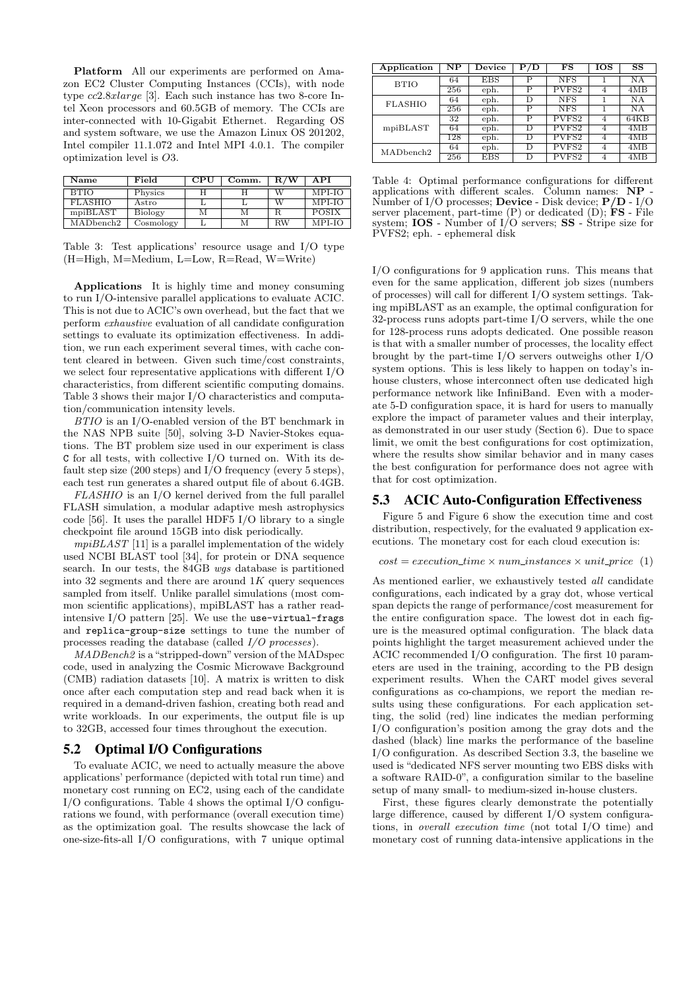Platform All our experiments are performed on Amazon EC2 Cluster Computing Instances (CCIs), with node type cc2.8xlarge [\[3\]](#page-10-1). Each such instance has two 8-core Intel Xeon processors and 60.5GB of memory. The CCIs are inter-connected with 10-Gigabit Ethernet. Regarding OS and system software, we use the Amazon Linux OS 201202, Intel compiler 11.1.072 and Intel MPI 4.0.1. The compiler optimization level is O3.

<span id="page-6-1"></span>

| Name           | Field                         | CPU | Comm. | R/W       | <b>API</b>   |
|----------------|-------------------------------|-----|-------|-----------|--------------|
| <b>BTIO</b>    | Physics                       | н   |       | W         | MPI-IO       |
| <b>FLASHIO</b> | Astro                         |     |       | W         | MPI-IO       |
| mpiBLAST       | Biology                       | Μ   | М     |           | <b>POSIX</b> |
| MADbench2      | $\overline{\text{Cosmology}}$ |     |       | <b>RW</b> | MPI-IO       |

Table 3: Test applications' resource usage and I/O type (H=High, M=Medium, L=Low, R=Read, W=Write)

Applications It is highly time and money consuming to run I/O-intensive parallel applications to evaluate ACIC. This is not due to ACIC's own overhead, but the fact that we perform exhaustive evaluation of all candidate configuration settings to evaluate its optimization effectiveness. In addition, we run each experiment several times, with cache content cleared in between. Given such time/cost constraints, we select four representative applications with different I/O characteristics, from different scientific computing domains. Table [3](#page-6-1) shows their major I/O characteristics and computation/communication intensity levels.

BTIO is an I/O-enabled version of the BT benchmark in the NAS NPB suite [\[50\]](#page-11-22), solving 3-D Navier-Stokes equations. The BT problem size used in our experiment is class C for all tests, with collective I/O turned on. With its default step size (200 steps) and I/O frequency (every 5 steps), each test run generates a shared output file of about 6.4GB.

FLASHIO is an I/O kernel derived from the full parallel FLASH simulation, a modular adaptive mesh astrophysics code [\[56\]](#page-11-23). It uses the parallel HDF5 I/O library to a single checkpoint file around 15GB into disk periodically.

 $mpiBLAST$  [\[11\]](#page-10-14) is a parallel implementation of the widely used NCBI BLAST tool [\[34\]](#page-11-24), for protein or DNA sequence search. In our tests, the 84GB wgs database is partitioned into 32 segments and there are around  $1K$  query sequences sampled from itself. Unlike parallel simulations (most common scientific applications), mpiBLAST has a rather readintensive I/O pattern [\[25\]](#page-11-25). We use the use-virtual-frags and replica-group-size settings to tune the number of processes reading the database (called I/O processes).

 $MADBench2$  is a "stripped-down" version of the MADspec code, used in analyzing the Cosmic Microwave Background (CMB) radiation datasets [\[10\]](#page-10-15). A matrix is written to disk once after each computation step and read back when it is required in a demand-driven fashion, creating both read and write workloads. In our experiments, the output file is up to 32GB, accessed four times throughout the execution.

## 5.2 Optimal I/O Configurations

To evaluate ACIC, we need to actually measure the above applications' performance (depicted with total run time) and monetary cost running on EC2, using each of the candidate I/O configurations. Table [4](#page-6-2) shows the optimal I/O configurations we found, with performance (overall execution time) as the optimization goal. The results showcase the lack of one-size-fits-all I/O configurations, with 7 unique optimal

<span id="page-6-2"></span>

| Application    | $_{\rm NP}$ | Device     | $\rm P/D$ | FS             | <b>IOS</b> | SS                  |
|----------------|-------------|------------|-----------|----------------|------------|---------------------|
| <b>BTIO</b>    | 64          | <b>EBS</b> | Р         | <b>NFS</b>     |            | $\overline{\rm NA}$ |
|                | 256         | eph.       | P         | PVFS2          | 4          | 4MB                 |
| <b>FLASHIO</b> | 64          | eph.       |           | <b>NFS</b>     |            | NΑ                  |
|                | 256         | eph.       | Р         | <b>NFS</b>     |            | NΑ                  |
| mpiBLAST       | 32          | eph.       | P         | PVFS2          |            | 64KB                |
|                | 64          | eph.       |           | $_{\rm PVFS2}$ |            | 4MB                 |
|                | 128         | eph.       |           | PVFS2          |            | 4MB                 |
| MADbench2      | 64          | eph.       |           | $_{\rm PVFS2}$ |            | 4MB                 |
|                | 256         | EBS        |           | $_{\rm FS2}$   |            | 4MB                 |

Table 4: Optimal performance configurations for different applications with different scales. Column names: NP - Number of I/O processes; **Device** - Disk device; **P/D** - I/O server placement, part-time (P) or dedicated (D); **FS** - File system;  $\text{IOS}$  - Number of I/O servers;  $\text{SS}$  - Stripe size for PVFS2; eph. - ephemeral disk

I/O configurations for 9 application runs. This means that even for the same application, different job sizes (numbers of processes) will call for different I/O system settings. Taking mpiBLAST as an example, the optimal configuration for 32-process runs adopts part-time I/O servers, while the one for 128-process runs adopts dedicated. One possible reason is that with a smaller number of processes, the locality effect brought by the part-time I/O servers outweighs other I/O system options. This is less likely to happen on today's inhouse clusters, whose interconnect often use dedicated high performance network like InfiniBand. Even with a moderate 5-D configuration space, it is hard for users to manually explore the impact of parameter values and their interplay, as demonstrated in our user study (Section [6\)](#page-9-1). Due to space limit, we omit the best configurations for cost optimization, where the results show similar behavior and in many cases the best configuration for performance does not agree with that for cost optimization.

#### <span id="page-6-0"></span>5.3 ACIC Auto-Configuration Effectiveness

Figure [5](#page-7-0) and Figure [6](#page-7-0) show the execution time and cost distribution, respectively, for the evaluated 9 application executions. The monetary cost for each cloud execution is:

#### $cost = execution\_time \times num\_instances \times unit\_price$  (1)

As mentioned earlier, we exhaustively tested all candidate configurations, each indicated by a gray dot, whose vertical span depicts the range of performance/cost measurement for the entire configuration space. The lowest dot in each figure is the measured optimal configuration. The black data points highlight the target measurement achieved under the ACIC recommended I/O configuration. The first 10 parameters are used in the training, according to the PB design experiment results. When the CART model gives several configurations as co-champions, we report the median results using these configurations. For each application setting, the solid (red) line indicates the median performing I/O configuration's position among the gray dots and the dashed (black) line marks the performance of the baseline I/O configuration. As described Section 3.3, the baseline we used is "dedicated NFS server mounting two EBS disks with a software RAID-0", a configuration similar to the baseline setup of many small- to medium-sized in-house clusters.

First, these figures clearly demonstrate the potentially large difference, caused by different I/O system configurations, in overall execution time (not total I/O time) and monetary cost of running data-intensive applications in the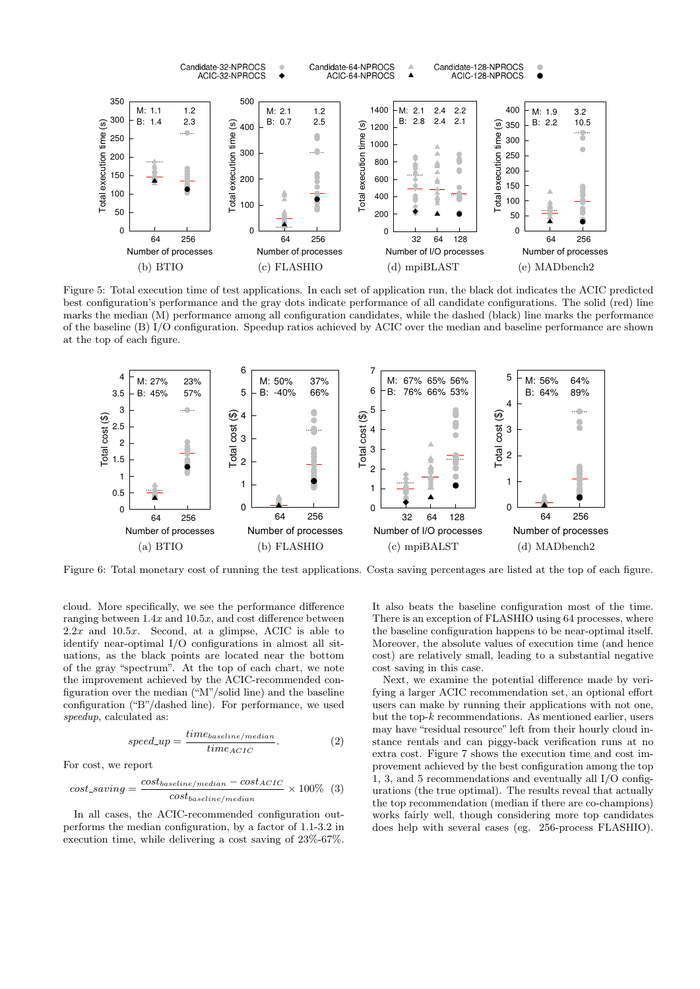<span id="page-7-0"></span>

Figure 5: Total execution time of test applications. In each set of application run, the black dot indicates the ACIC predicted best configuration's performance and the gray dots indicate performance of all candidate configurations. The solid (red) line marks the median (M) performance among all configuration candidates, while the dashed (black) line marks the performance of the baseline (B) I/O configuration. Speedup ratios achieved by ACIC over the median and baseline performance are shown at the top of each figure.



Figure 6: Total monetary cost of running the test applications. Costa saving percentages are listed at the top of each figure.

cloud. More specifically, we see the performance difference ranging between  $1.4x$  and  $10.5x$ , and cost difference between  $2.2x$  and  $10.5x$ . Second, at a glimpse, ACIC is able to identify near-optimal I/O configurations in almost all situations, as the black points are located near the bottom of the gray "spectrum". At the top of each chart, we note the improvement achieved by the ACIC-recommended configuration over the median ("M"/solid line) and the baseline configuration ("B"/dashed line). For performance, we used speedup, calculated as:

$$
speed\_up = \frac{time_{baseline/median}}{time_{ACIC}}.\tag{2}
$$

For cost, we report

$$
cost\_saving = \frac{cost_{baseline/median} - cost_{ACIC}}{cost_{baseline/median}} \times 100\% \tag{3}
$$

In all cases, the ACIC-recommended configuration outperforms the median configuration, by a factor of 1.1-3.2 in execution time, while delivering a cost saving of 23%-67%. It also beats the baseline configuration most of the time. There is an exception of FLASHIO using 64 processes, where the baseline configuration happens to be near-optimal itself. Moreover, the absolute values of execution time (and hence cost) are relatively small, leading to a substantial negative cost saving in this case.

Next, we examine the potential difference made by verifying a larger ACIC recommendation set, an optional effort users can make by running their applications with not one, but the top-k recommendations. As mentioned earlier, users may have "residual resource" left from their hourly cloud instance rentals and can piggy-back verification runs at no extra cost. Figure [7](#page-8-0) shows the execution time and cost improvement achieved by the best configuration among the top 1, 3, and 5 recommendations and eventually all I/O configurations (the true optimal). The results reveal that actually the top recommendation (median if there are co-champions) works fairly well, though considering more top candidates does help with several cases (eg. 256-process FLASHIO).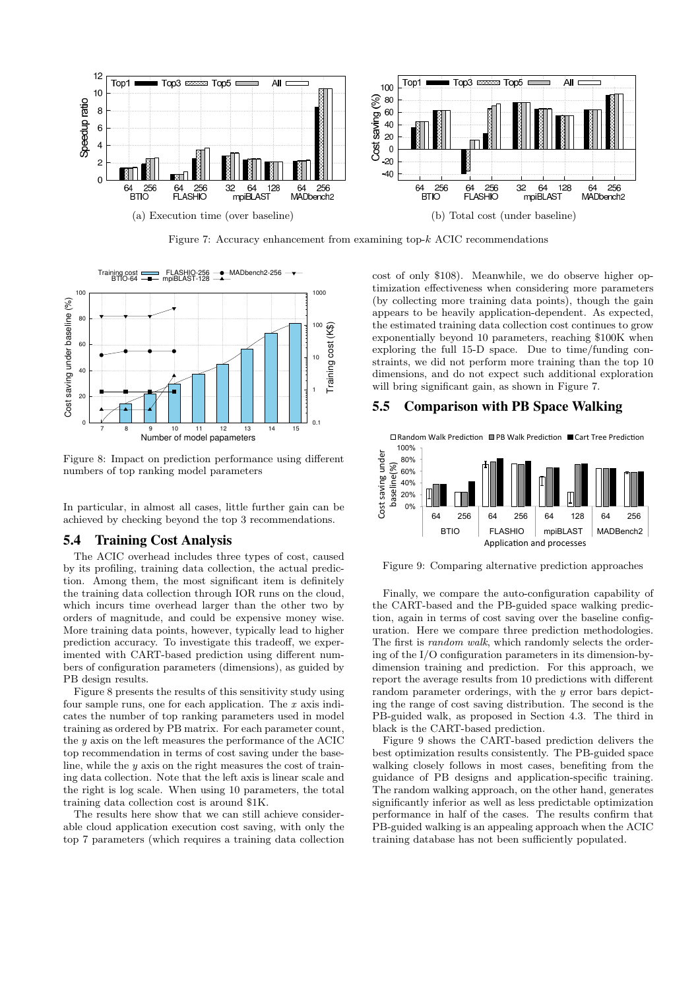<span id="page-8-0"></span>

Figure 7: Accuracy enhancement from examining top-k ACIC recommendations

<span id="page-8-1"></span>

Figure 8: Impact on prediction performance using different numbers of top ranking model parameters

In particular, in almost all cases, little further gain can be achieved by checking beyond the top 3 recommendations.

#### 5.4 Training Cost Analysis

The ACIC overhead includes three types of cost, caused by its profiling, training data collection, the actual prediction. Among them, the most significant item is definitely the training data collection through IOR runs on the cloud, which incurs time overhead larger than the other two by orders of magnitude, and could be expensive money wise. More training data points, however, typically lead to higher prediction accuracy. To investigate this tradeoff, we experimented with CART-based prediction using different numbers of configuration parameters (dimensions), as guided by PB design results.

Figure [8](#page-8-1) presents the results of this sensitivity study using four sample runs, one for each application. The  $x$  axis indicates the number of top ranking parameters used in model training as ordered by PB matrix. For each parameter count, the y axis on the left measures the performance of the ACIC top recommendation in terms of cost saving under the baseline, while the  $y$  axis on the right measures the cost of training data collection. Note that the left axis is linear scale and the right is log scale. When using 10 parameters, the total training data collection cost is around \$1K.

The results here show that we can still achieve considerable cloud application execution cost saving, with only the top 7 parameters (which requires a training data collection

cost of only \$108). Meanwhile, we do observe higher optimization effectiveness when considering more parameters (by collecting more training data points), though the gain appears to be heavily application-dependent. As expected, the estimated training data collection cost continues to grow exponentially beyond 10 parameters, reaching \$100K when exploring the full 15-D space. Due to time/funding constraints, we did not perform more training than the top 10 dimensions, and do not expect such additional exploration will bring significant gain, as shown in Figure [7.](#page-8-0)

#### 5.5 Comparison with PB Space Walking

<span id="page-8-2"></span>

Figure 9: Comparing alternative prediction approaches

Finally, we compare the auto-configuration capability of the CART-based and the PB-guided space walking prediction, again in terms of cost saving over the baseline configuration. Here we compare three prediction methodologies. The first is *random walk*, which randomly selects the ordering of the I/O configuration parameters in its dimension-bydimension training and prediction. For this approach, we report the average results from 10 predictions with different random parameter orderings, with the y error bars depicting the range of cost saving distribution. The second is the PB-guided walk, as proposed in Section [4.3.](#page-5-1) The third in black is the CART-based prediction.

Figure [9](#page-8-2) shows the CART-based prediction delivers the best optimization results consistently. The PB-guided space walking closely follows in most cases, benefiting from the guidance of PB designs and application-specific training. The random walking approach, on the other hand, generates significantly inferior as well as less predictable optimization performance in half of the cases. The results confirm that PB-guided walking is an appealing approach when the ACIC training database has not been sufficiently populated.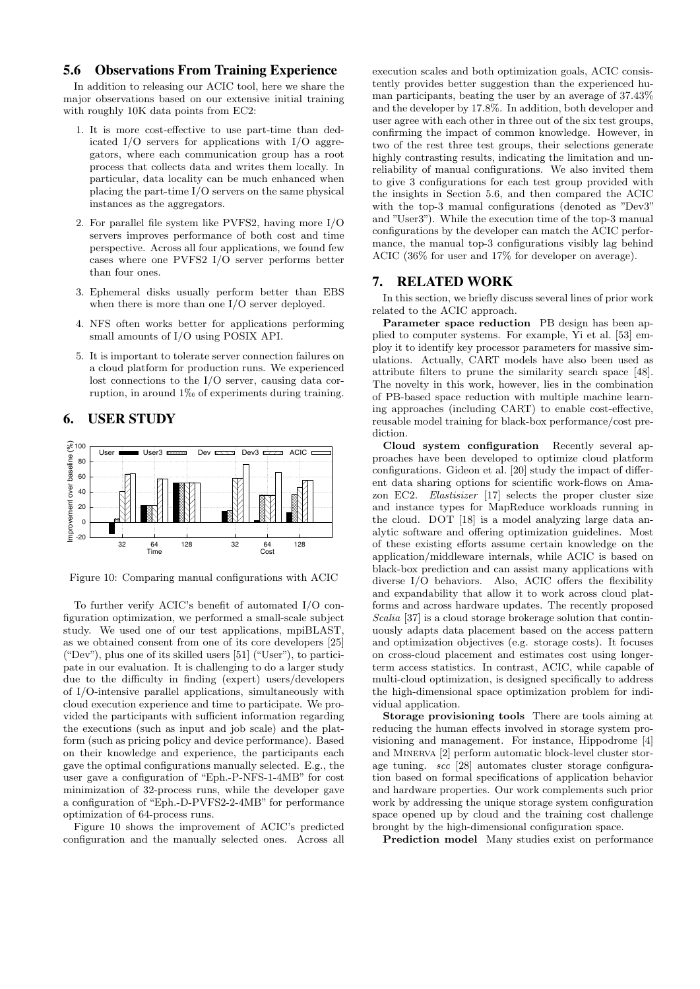#### <span id="page-9-3"></span>5.6 Observations From Training Experience

In addition to releasing our ACIC tool, here we share the major observations based on our extensive initial training with roughly 10K data points from EC2:

- 1. It is more cost-effective to use part-time than dedicated I/O servers for applications with I/O aggregators, where each communication group has a root process that collects data and writes them locally. In particular, data locality can be much enhanced when placing the part-time I/O servers on the same physical instances as the aggregators.
- 2. For parallel file system like PVFS2, having more I/O servers improves performance of both cost and time perspective. Across all four applications, we found few cases where one PVFS2 I/O server performs better than four ones.
- 3. Ephemeral disks usually perform better than EBS when there is more than one I/O server deployed.
- 4. NFS often works better for applications performing small amounts of I/O using POSIX API.
- 5. It is important to tolerate server connection failures on a cloud platform for production runs. We experienced lost connections to the I/O server, causing data corruption, in around  $1\%$  of experiments during training.

# <span id="page-9-1"></span>6. USER STUDY

<span id="page-9-2"></span>

Figure 10: Comparing manual configurations with ACIC

To further verify ACIC's benefit of automated I/O configuration optimization, we performed a small-scale subject study. We used one of our test applications, mpiBLAST, as we obtained consent from one of its core developers [\[25\]](#page-11-25) ("Dev"), plus one of its skilled users [\[51\]](#page-11-26) ("User"), to participate in our evaluation. It is challenging to do a larger study due to the difficulty in finding (expert) users/developers of I/O-intensive parallel applications, simultaneously with cloud execution experience and time to participate. We provided the participants with sufficient information regarding the executions (such as input and job scale) and the platform (such as pricing policy and device performance). Based on their knowledge and experience, the participants each gave the optimal configurations manually selected. E.g., the user gave a configuration of "Eph.-P-NFS-1-4MB" for cost minimization of 32-process runs, while the developer gave a configuration of "Eph.-D-PVFS2-2-4MB" for performance optimization of 64-process runs.

Figure [10](#page-9-2) shows the improvement of ACIC's predicted configuration and the manually selected ones. Across all

execution scales and both optimization goals, ACIC consistently provides better suggestion than the experienced human participants, beating the user by an average of 37.43% and the developer by 17.8%. In addition, both developer and user agree with each other in three out of the six test groups, confirming the impact of common knowledge. However, in two of the rest three test groups, their selections generate highly contrasting results, indicating the limitation and unreliability of manual configurations. We also invited them to give 3 configurations for each test group provided with the insights in Section [5.6,](#page-9-3) and then compared the ACIC with the top-3 manual configurations (denoted as "Dev3" and "User3"). While the execution time of the top-3 manual configurations by the developer can match the ACIC performance, the manual top-3 configurations visibly lag behind ACIC (36% for user and 17% for developer on average).

#### <span id="page-9-0"></span>7. RELATED WORK

In this section, we briefly discuss several lines of prior work related to the ACIC approach.

Parameter space reduction PB design has been applied to computer systems. For example, Yi et al. [\[53\]](#page-11-19) employ it to identify key processor parameters for massive simulations. Actually, CART models have also been used as attribute filters to prune the similarity search space [\[48\]](#page-11-27). The novelty in this work, however, lies in the combination of PB-based space reduction with multiple machine learning approaches (including CART) to enable cost-effective, reusable model training for black-box performance/cost prediction.

Cloud system configuration Recently several approaches have been developed to optimize cloud platform configurations. Gideon et al. [\[20\]](#page-10-0) study the impact of different data sharing options for scientific work-flows on Amazon EC2. Elastisizer [\[17\]](#page-10-16) selects the proper cluster size and instance types for MapReduce workloads running in the cloud. DOT [\[18\]](#page-10-17) is a model analyzing large data analytic software and offering optimization guidelines. Most of these existing efforts assume certain knowledge on the application/middleware internals, while ACIC is based on black-box prediction and can assist many applications with diverse I/O behaviors. Also, ACIC offers the flexibility and expandability that allow it to work across cloud platforms and across hardware updates. The recently proposed Scalia [\[37\]](#page-11-28) is a cloud storage brokerage solution that continuously adapts data placement based on the access pattern and optimization objectives (e.g. storage costs). It focuses on cross-cloud placement and estimates cost using longerterm access statistics. In contrast, ACIC, while capable of multi-cloud optimization, is designed specifically to address the high-dimensional space optimization problem for individual application.

Storage provisioning tools There are tools aiming at reducing the human effects involved in storage system provisioning and management. For instance, Hippodrome [\[4\]](#page-10-5) and MINERVA [\[2\]](#page-10-4) perform automatic block-level cluster storage tuning. scc [\[28\]](#page-11-29) automates cluster storage configuration based on formal specifications of application behavior and hardware properties. Our work complements such prior work by addressing the unique storage system configuration space opened up by cloud and the training cost challenge brought by the high-dimensional configuration space.

Prediction model Many studies exist on performance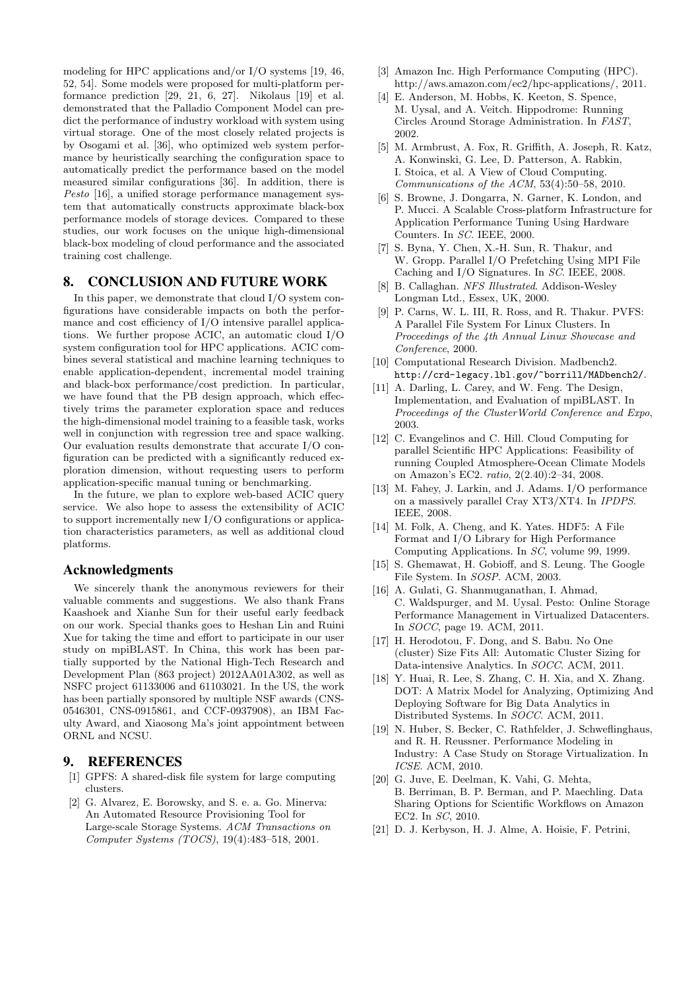modeling for HPC applications and/or I/O systems [\[19,](#page-10-18) [46,](#page-11-30) [52,](#page-11-31) [54\]](#page-11-5). Some models were proposed for multi-platform performance prediction [\[29,](#page-11-32) [21,](#page-10-19) [6,](#page-10-20) [27\]](#page-11-33). Nikolaus [\[19\]](#page-10-18) et al. demonstrated that the Palladio Component Model can predict the performance of industry workload with system using virtual storage. One of the most closely related projects is by Osogami et al. [\[36\]](#page-11-34), who optimized web system performance by heuristically searching the configuration space to automatically predict the performance based on the model measured similar configurations [\[36\]](#page-11-34). In addition, there is Pesto [\[16\]](#page-10-6), a unified storage performance management system that automatically constructs approximate black-box performance models of storage devices. Compared to these studies, our work focuses on the unique high-dimensional black-box modeling of cloud performance and the associated training cost challenge.

#### 8. CONCLUSION AND FUTURE WORK

In this paper, we demonstrate that cloud I/O system configurations have considerable impacts on both the performance and cost efficiency of I/O intensive parallel applications. We further propose ACIC, an automatic cloud I/O system configuration tool for HPC applications. ACIC combines several statistical and machine learning techniques to enable application-dependent, incremental model training and black-box performance/cost prediction. In particular, we have found that the PB design approach, which effectively trims the parameter exploration space and reduces the high-dimensional model training to a feasible task, works well in conjunction with regression tree and space walking. Our evaluation results demonstrate that accurate I/O configuration can be predicted with a significantly reduced exploration dimension, without requesting users to perform application-specific manual tuning or benchmarking.

In the future, we plan to explore web-based ACIC query service. We also hope to assess the extensibility of ACIC to support incrementally new I/O configurations or application characteristics parameters, as well as additional cloud platforms.

## Acknowledgments

We sincerely thank the anonymous reviewers for their valuable comments and suggestions. We also thank Frans Kaashoek and Xianhe Sun for their useful early feedback on our work. Special thanks goes to Heshan Lin and Ruini Xue for taking the time and effort to participate in our user study on mpiBLAST. In China, this work has been partially supported by the National High-Tech Research and Development Plan (863 project) 2012AA01A302, as well as NSFC project 61133006 and 61103021. In the US, the work has been partially sponsored by multiple NSF awards (CNS-0546301, CNS-0915861, and CCF-0937908), an IBM Faculty Award, and Xiaosong Ma's joint appointment between ORNL and NCSU.

# 9. REFERENCES

- <span id="page-10-10"></span>[1] GPFS: A shared-disk file system for large computing clusters.
- <span id="page-10-4"></span>[2] G. Alvarez, E. Borowsky, and S. e. a. Go. Minerva: An Automated Resource Provisioning Tool for Large-scale Storage Systems. ACM Transactions on Computer Systems (TOCS), 19(4):483–518, 2001.
- <span id="page-10-1"></span>[3] Amazon Inc. High Performance Computing (HPC). http://aws.amazon.com/ec2/hpc-applications/, 2011.
- <span id="page-10-5"></span>[4] E. Anderson, M. Hobbs, K. Keeton, S. Spence, M. Uysal, and A. Veitch. Hippodrome: Running Circles Around Storage Administration. In FAST, 2002.
- <span id="page-10-3"></span>[5] M. Armbrust, A. Fox, R. Griffith, A. Joseph, R. Katz, A. Konwinski, G. Lee, D. Patterson, A. Rabkin, I. Stoica, et al. A View of Cloud Computing. Communications of the ACM, 53(4):50–58, 2010.
- <span id="page-10-20"></span>[6] S. Browne, J. Dongarra, N. Garner, K. London, and P. Mucci. A Scalable Cross-platform Infrastructure for Application Performance Tuning Using Hardware Counters. In SC. IEEE, 2000.
- <span id="page-10-12"></span>[7] S. Byna, Y. Chen, X.-H. Sun, R. Thakur, and W. Gropp. Parallel I/O Prefetching Using MPI File Caching and I/O Signatures. In SC. IEEE, 2008.
- <span id="page-10-8"></span>[8] B. Callaghan. NFS Illustrated. Addison-Wesley Longman Ltd., Essex, UK, 2000.
- <span id="page-10-7"></span>[9] P. Carns, W. L. III, R. Ross, and R. Thakur. PVFS: A Parallel File System For Linux Clusters. In Proceedings of the 4th Annual Linux Showcase and Conference, 2000.
- <span id="page-10-15"></span>[10] Computational Research Division. Madbench2. <http://crd-legacy.lbl.gov/~borrill/MADbench2/>.
- <span id="page-10-14"></span>[11] A. Darling, L. Carey, and W. Feng. The Design, Implementation, and Evaluation of mpiBLAST. In Proceedings of the ClusterWorld Conference and Expo, 2003.
- <span id="page-10-2"></span>[12] C. Evangelinos and C. Hill. Cloud Computing for parallel Scientific HPC Applications: Feasibility of running Coupled Atmosphere-Ocean Climate Models on Amazon's EC2. ratio, 2(2.40):2–34, 2008.
- <span id="page-10-11"></span>[13] M. Fahey, J. Larkin, and J. Adams. I/O performance on a massively parallel Cray XT3/XT4. In IPDPS. IEEE, 2008.
- <span id="page-10-9"></span>[14] M. Folk, A. Cheng, and K. Yates. HDF5: A File Format and I/O Library for High Performance Computing Applications. In SC, volume 99, 1999.
- <span id="page-10-13"></span>[15] S. Ghemawat, H. Gobioff, and S. Leung. The Google File System. In SOSP. ACM, 2003.
- <span id="page-10-6"></span>[16] A. Gulati, G. Shanmuganathan, I. Ahmad, C. Waldspurger, and M. Uysal. Pesto: Online Storage Performance Management in Virtualized Datacenters. In SOCC, page 19. ACM, 2011.
- <span id="page-10-16"></span>[17] H. Herodotou, F. Dong, and S. Babu. No One (cluster) Size Fits All: Automatic Cluster Sizing for Data-intensive Analytics. In SOCC. ACM, 2011.
- <span id="page-10-17"></span>[18] Y. Huai, R. Lee, S. Zhang, C. H. Xia, and X. Zhang. DOT: A Matrix Model for Analyzing, Optimizing And Deploying Software for Big Data Analytics in Distributed Systems. In SOCC. ACM, 2011.
- <span id="page-10-18"></span>[19] N. Huber, S. Becker, C. Rathfelder, J. Schweflinghaus, and R. H. Reussner. Performance Modeling in Industry: A Case Study on Storage Virtualization. In ICSE. ACM, 2010.
- <span id="page-10-0"></span>[20] G. Juve, E. Deelman, K. Vahi, G. Mehta, B. Berriman, B. P. Berman, and P. Maechling. Data Sharing Options for Scientific Workflows on Amazon EC2. In SC, 2010.
- <span id="page-10-19"></span>[21] D. J. Kerbyson, H. J. Alme, A. Hoisie, F. Petrini,